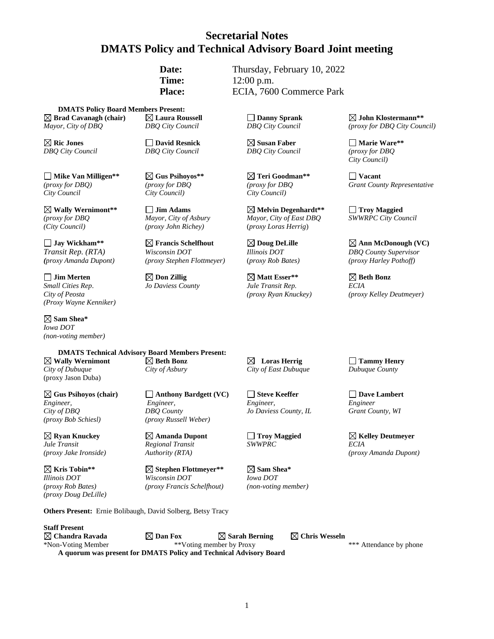# **Secretarial Notes DMATS Policy and Technical Advisory Board Joint meeting**

Date: Thursday, February 10, 2022 **Time:** 12:00 p.m. **Place:** ECIA, 7600 Commerce Park

**DMATS Policy Board Members Present: Brad Cavanagh (chair) Laura Roussell Danny Sprank John Klostermann\*\*** *Mayor, City of DBQ DBQ City Council DBQ City Council (proxy for DBQ City Council)*

**Ric Jones David Resnick Susan Faber Marie Ware\*\*** *DBQ City Council DBQ City Council DBQ City Council (proxy for DBQ*

**Mike Van Milligen\*\* Gus Psihoyos\*\* Teri Goodman\*\* Vacant** *City Council City Council) City Council)*

**Wally Wernimont\*\* Jim Adams Melvin Degenhardt\*\* Troy Maggied** *(City Council) (proxy John Richey)* (*proxy Loras Herrig*)

*(proxy Amanda Dupont) (proxy Stephen Flottmeyer)* (*proxy Rob Bates) (proxy Harley Pothoff)*

 $\Box$  Jim Merten  $\Box$   $\Box$  Don Zillig  $\Box$   $\Box$  Matt Esser\*\*  $\Box$  Beth Bonz *Small Cities Rep*. *Jo Daviess County Jule Transit Rep. ECIA (Proxy Wayne Kenniker)*

**Sam Shea\***  *Iowa DOT (non-voting member)*

**DMATS Technical Advisory Board Members Present: Wally Wernimont Beth Bonz Loras Herrig Tammy Henry** *City of Dubuque City of Asbury City of East Dubuque Dubuque County* (proxy Jason Duba)

*(proxy Bob Schiesl) (proxy Russell Weber)*

 $\boxed{\times}$  **Ryan Knuckey Amanda Dupont C** Troy Maggied **ECIA**<br> *Regional Transit SWWPRC ECIA Jule Transit Regional Transit SWWPRC ECIA*

*(proxy Doug DeLille)*

**Gus Psihoyos (chair) Anthony Bardgett (VC) Steve Keeffer Dave Lambert** *Engineer, Engineer, Engineer, Engineer City of DBQ DBQ County Jo Daviess County, IL Grant County, WI*

*(proxy Jake Ironside) Authority (RTA) (proxy Amanda Dupont)*

**Kris Tobin\*\* Stephen Flottmeyer\*\* Sam Shea\*** *Illinois DOT Wisconsin DOT Iowa DOT (proxy Rob Bates) (proxy Francis Schelfhout) (non-voting member)*

*(proxy for DBQ Mayor, City of Asbury Mayor, City of East DBQ* 

*City Council)*

*(proxy for DBQ) (proxy for DBQ (proxy for DBQ Grant County Representative*

**Jay Wickham\*\* Francis Schelfhout Doug DeLille Ann McDonough (VC)** *Transit Rep. (RTA) Wisconsin DOT Illinois DOT DBQ County Supervisor*

*City of Peosta (proxy Ryan Knuckey) (proxy Kelley Deutmeyer)*

**Others Present:** Ernie Bolibaugh, David Solberg, Betsy Tracy

**Staff Present**  $\boxtimes$  Chandra Ravada  $\boxtimes$  Dan Fox  $\boxtimes$  Sarah Berning  $\boxtimes$  Chris Wesseln \*Non-Voting Member \*\*Voting member by Proxy \*\*\* Attendance by phone **A quorum was present for DMATS Policy and Technical Advisory Board**

1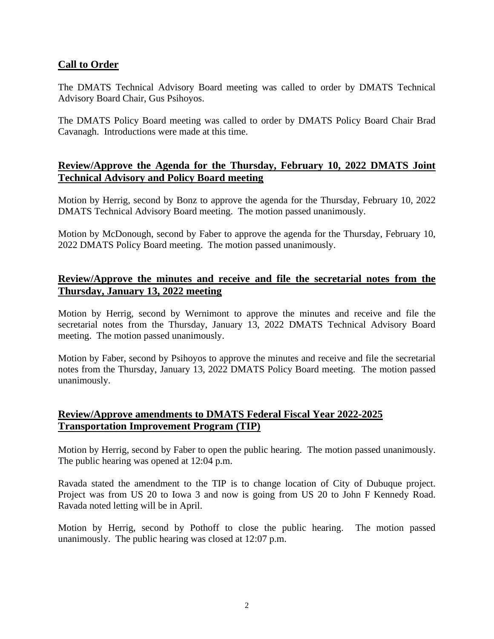### **Call to Order**

The DMATS Technical Advisory Board meeting was called to order by DMATS Technical Advisory Board Chair, Gus Psihoyos.

The DMATS Policy Board meeting was called to order by DMATS Policy Board Chair Brad Cavanagh. Introductions were made at this time.

# **Review/Approve the Agenda for the Thursday, February 10, 2022 DMATS Joint Technical Advisory and Policy Board meeting**

Motion by Herrig, second by Bonz to approve the agenda for the Thursday, February 10, 2022 DMATS Technical Advisory Board meeting. The motion passed unanimously.

Motion by McDonough, second by Faber to approve the agenda for the Thursday, February 10, 2022 DMATS Policy Board meeting. The motion passed unanimously.

### **Review/Approve the minutes and receive and file the secretarial notes from the Thursday, January 13, 2022 meeting**

Motion by Herrig, second by Wernimont to approve the minutes and receive and file the secretarial notes from the Thursday, January 13, 2022 DMATS Technical Advisory Board meeting. The motion passed unanimously.

Motion by Faber, second by Psihoyos to approve the minutes and receive and file the secretarial notes from the Thursday, January 13, 2022 DMATS Policy Board meeting. The motion passed unanimously.

# **Review/Approve amendments to DMATS Federal Fiscal Year 2022-2025 Transportation Improvement Program (TIP)**

Motion by Herrig, second by Faber to open the public hearing. The motion passed unanimously. The public hearing was opened at 12:04 p.m.

Ravada stated the amendment to the TIP is to change location of City of Dubuque project. Project was from US 20 to Iowa 3 and now is going from US 20 to John F Kennedy Road. Ravada noted letting will be in April.

Motion by Herrig, second by Pothoff to close the public hearing. The motion passed unanimously. The public hearing was closed at 12:07 p.m.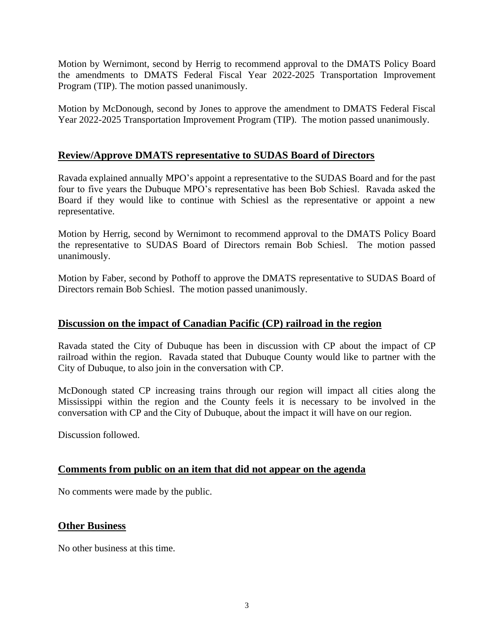Motion by Wernimont, second by Herrig to recommend approval to the DMATS Policy Board the amendments to DMATS Federal Fiscal Year 2022-2025 Transportation Improvement Program (TIP). The motion passed unanimously.

Motion by McDonough, second by Jones to approve the amendment to DMATS Federal Fiscal Year 2022-2025 Transportation Improvement Program (TIP). The motion passed unanimously.

#### **Review/Approve DMATS representative to SUDAS Board of Directors**

Ravada explained annually MPO's appoint a representative to the SUDAS Board and for the past four to five years the Dubuque MPO's representative has been Bob Schiesl. Ravada asked the Board if they would like to continue with Schiesl as the representative or appoint a new representative.

Motion by Herrig, second by Wernimont to recommend approval to the DMATS Policy Board the representative to SUDAS Board of Directors remain Bob Schiesl. The motion passed unanimously.

Motion by Faber, second by Pothoff to approve the DMATS representative to SUDAS Board of Directors remain Bob Schiesl. The motion passed unanimously.

#### **Discussion on the impact of Canadian Pacific (CP) railroad in the region**

Ravada stated the City of Dubuque has been in discussion with CP about the impact of CP railroad within the region. Ravada stated that Dubuque County would like to partner with the City of Dubuque, to also join in the conversation with CP.

McDonough stated CP increasing trains through our region will impact all cities along the Mississippi within the region and the County feels it is necessary to be involved in the conversation with CP and the City of Dubuque, about the impact it will have on our region.

Discussion followed.

#### **Comments from public on an item that did not appear on the agenda**

No comments were made by the public.

#### **Other Business**

No other business at this time.